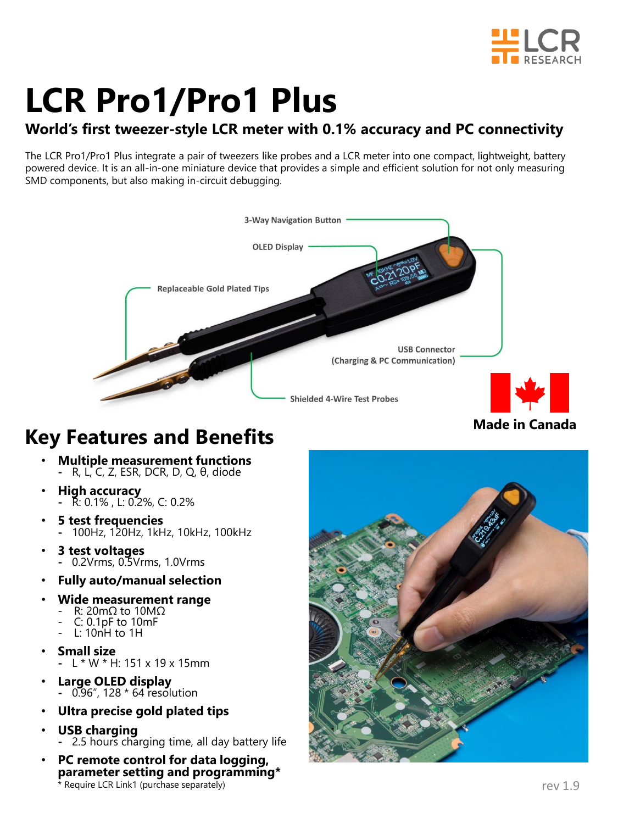

# **LCR Pro1/Pro1 Plus**

### **World's first tweezer-style LCR meter with 0.1% accuracy and PC connectivity**

The LCR Pro1/Pro1 Plus integrate a pair of tweezers like probes and a LCR meter into one compact, lightweight, battery powered device. It is an all-in-one miniature device that provides a simple and efficient solution for not only measuring SMD components, but also making in-circuit debugging.



### **Made in Canada**

## **Key Features and Benefits**

- **Multiple measurement functions -** R, L, C, Z, ESR, DCR, D, Q, θ, diode
- **High accuracy -** R: 0.1% , L: 0.2%, C: 0.2%
- **5 test frequencies -** 100Hz, 120Hz, 1kHz, 10kHz, 100kHz
- **3 test voltages -** 0.2Vrms, 0.5Vrms, 1.0Vrms
- **Fully auto/manual selection**
- **Wide measurement range**
	- R: 20mΩ to 10MΩ
		- C: 0.1pF to 10mF
	- $L: 10nH$  to  $1H$
- **Small size** 
	- **-** L \* W \* H: 151 x 19 x 15mm
- **Large OLED display -** 0.96", 128 \* 64 resolution
- **Ultra precise gold plated tips**
- **USB charging** 
	- **-** 2.5 hours charging time, all day battery life
- **PC remote control for data logging, parameter setting and programming\***  \* Require LCR Link1 (purchase separately) rev 1.9

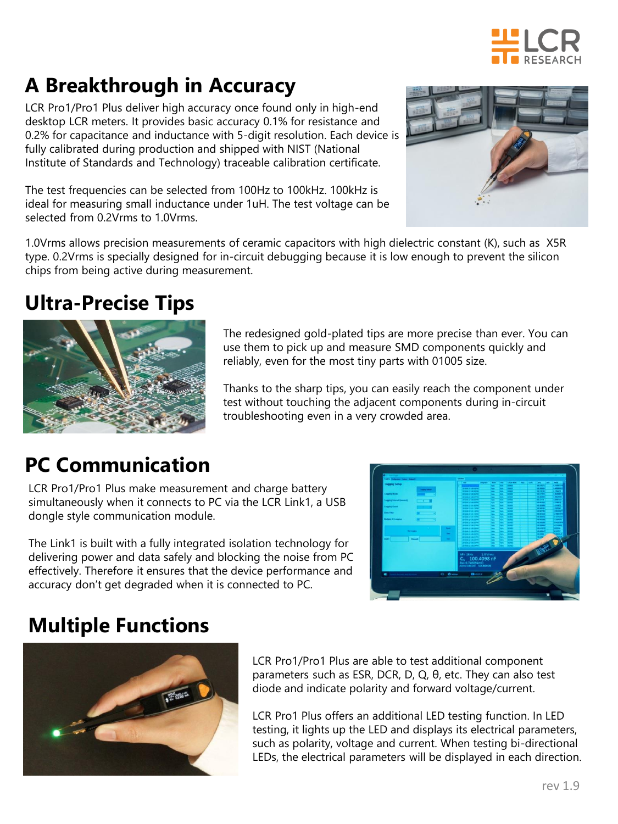

# **A Breakthrough in Accuracy**

LCR Pro1/Pro1 Plus deliver high accuracy once found only in high-end desktop LCR meters. It provides basic accuracy 0.1% for resistance and 0.2% for capacitance and inductance with 5-digit resolution. Each device is fully calibrated during production and shipped with NIST (National Institute of Standards and Technology) traceable calibration certificate.

The test frequencies can be selected from 100Hz to 100kHz. 100kHz is ideal for measuring small inductance under 1uH. The test voltage can be selected from 0.2Vrms to 1.0Vrms.



1.0Vrms allows precision measurements of ceramic capacitors with high dielectric constant (K), such as X5R type. 0.2Vrms is specially designed for in-circuit debugging because it is low enough to prevent the silicon chips from being active during measurement.

# **Ultra-Precise Tips**



The redesigned gold-plated tips are more precise than ever. You can use them to pick up and measure SMD components quickly and reliably, even for the most tiny parts with 01005 size.

Thanks to the sharp tips, you can easily reach the component under test without touching the adjacent components during in-circuit troubleshooting even in a very crowded area.

# **PC Communication**

LCR Pro1/Pro1 Plus make measurement and charge battery simultaneously when it connects to PC via the LCR Link1, a USB dongle style communication module.

The Link1 is built with a fully integrated isolation technology for delivering power and data safely and blocking the noise from PC effectively. Therefore it ensures that the device performance and accuracy don't get degraded when it is connected to PC.



# **Multiple Functions**



LCR Pro1/Pro1 Plus are able to test additional component parameters such as ESR, DCR, D, Q, θ, etc. They can also test diode and indicate polarity and forward voltage/current.

LCR Pro1 Plus offers an additional LED testing function. In LED testing, it lights up the LED and displays its electrical parameters, such as polarity, voltage and current. When testing bi-directional LEDs, the electrical parameters will be displayed in each direction.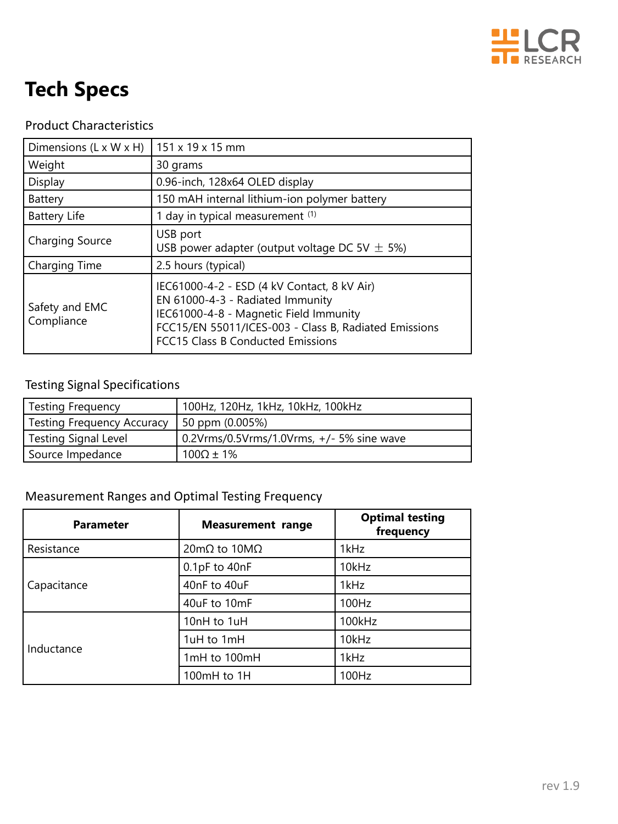

# **Tech Specs**

### Product Characteristics

| Dimensions $(L \times W \times H)$ | 151 x 19 x 15 mm                                                                                                                                                                                                        |  |  |
|------------------------------------|-------------------------------------------------------------------------------------------------------------------------------------------------------------------------------------------------------------------------|--|--|
| Weight                             | 30 grams                                                                                                                                                                                                                |  |  |
| Display                            | 0.96-inch, 128x64 OLED display                                                                                                                                                                                          |  |  |
| Battery                            | 150 mAH internal lithium-ion polymer battery                                                                                                                                                                            |  |  |
| Battery Life                       | 1 day in typical measurement (1)                                                                                                                                                                                        |  |  |
| Charging Source                    | USB port<br>USB power adapter (output voltage DC 5V $\pm$ 5%)                                                                                                                                                           |  |  |
| Charging Time                      | 2.5 hours (typical)                                                                                                                                                                                                     |  |  |
| Safety and EMC<br>Compliance       | IEC61000-4-2 - ESD (4 kV Contact, 8 kV Air)<br>EN 61000-4-3 - Radiated Immunity<br>IEC61000-4-8 - Magnetic Field Immunity<br>FCC15/EN 55011/ICES-003 - Class B, Radiated Emissions<br>FCC15 Class B Conducted Emissions |  |  |

### Testing Signal Specifications

| Testing Frequency                 | 100Hz, 120Hz, 1kHz, 10kHz, 100kHz         |
|-----------------------------------|-------------------------------------------|
| <b>Testing Frequency Accuracy</b> | 50 ppm (0.005%)                           |
| Testing Signal Level              | 0.2Vrms/0.5Vrms/1.0Vrms, +/- 5% sine wave |
| Source Impedance                  | $100\Omega \pm 1\%$                       |

### Measurement Ranges and Optimal Testing Frequency

| <b>Parameter</b> | <b>Measurement range</b> | <b>Optimal testing</b><br>frequency |  |
|------------------|--------------------------|-------------------------------------|--|
| Resistance       | $20mΩ$ to $10MΩ$         | 1kHz                                |  |
|                  | $0.1pF$ to $40nF$        | 10kHz                               |  |
| Capacitance      | 40nF to 40uF             | 1kHz                                |  |
|                  | 40uF to 10mF             | 100Hz                               |  |
|                  | 10nH to 1uH              | 100kHz                              |  |
|                  | 1uH to 1mH               | 10kHz                               |  |
| Inductance       | 1mH to 100mH             | 1kHz                                |  |
|                  | 100mH to 1H              | 100Hz                               |  |